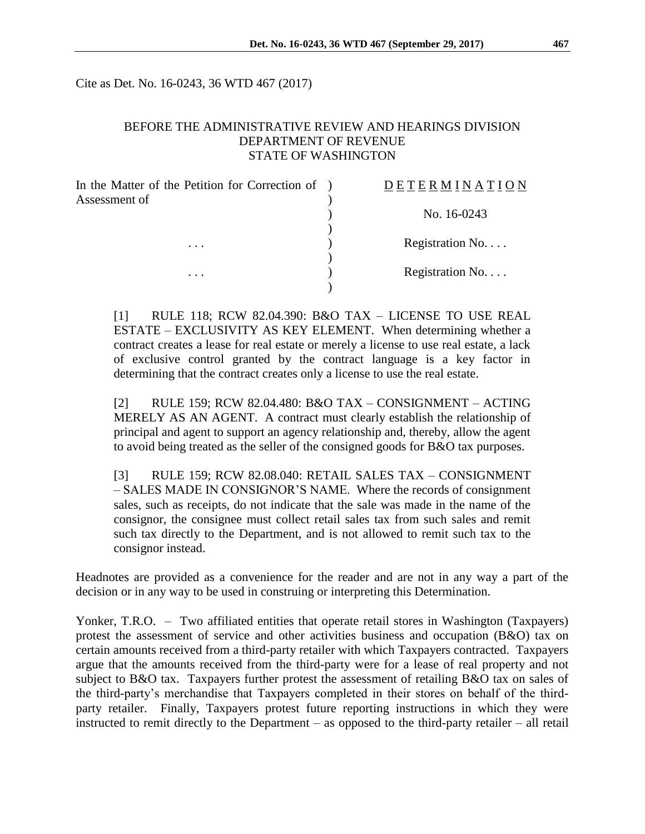Cite as Det. No. 16-0243, 36 WTD 467 (2017)

#### BEFORE THE ADMINISTRATIVE REVIEW AND HEARINGS DIVISION DEPARTMENT OF REVENUE STATE OF WASHINGTON

| In the Matter of the Petition for Correction of | <b>DETERMINATION</b> |
|-------------------------------------------------|----------------------|
|                                                 | No. 16-0243          |
| $\cdots$                                        | Registration No      |
| $\cdots$                                        | Registration No      |
|                                                 |                      |

[1] RULE 118; RCW 82.04.390: B&O TAX – LICENSE TO USE REAL ESTATE – EXCLUSIVITY AS KEY ELEMENT. When determining whether a contract creates a lease for real estate or merely a license to use real estate, a lack of exclusive control granted by the contract language is a key factor in determining that the contract creates only a license to use the real estate.

[2] RULE 159; RCW 82.04.480: B&O TAX – CONSIGNMENT – ACTING MERELY AS AN AGENT. A contract must clearly establish the relationship of principal and agent to support an agency relationship and, thereby, allow the agent to avoid being treated as the seller of the consigned goods for B&O tax purposes.

[3] RULE 159; RCW 82.08.040: RETAIL SALES TAX – CONSIGNMENT – SALES MADE IN CONSIGNOR'S NAME. Where the records of consignment sales, such as receipts, do not indicate that the sale was made in the name of the consignor, the consignee must collect retail sales tax from such sales and remit such tax directly to the Department, and is not allowed to remit such tax to the consignor instead.

Headnotes are provided as a convenience for the reader and are not in any way a part of the decision or in any way to be used in construing or interpreting this Determination.

Yonker, T.R.O. – Two affiliated entities that operate retail stores in Washington (Taxpayers) protest the assessment of service and other activities business and occupation (B&O) tax on certain amounts received from a third-party retailer with which Taxpayers contracted. Taxpayers argue that the amounts received from the third-party were for a lease of real property and not subject to B&O tax. Taxpayers further protest the assessment of retailing B&O tax on sales of the third-party's merchandise that Taxpayers completed in their stores on behalf of the thirdparty retailer. Finally, Taxpayers protest future reporting instructions in which they were instructed to remit directly to the Department – as opposed to the third-party retailer – all retail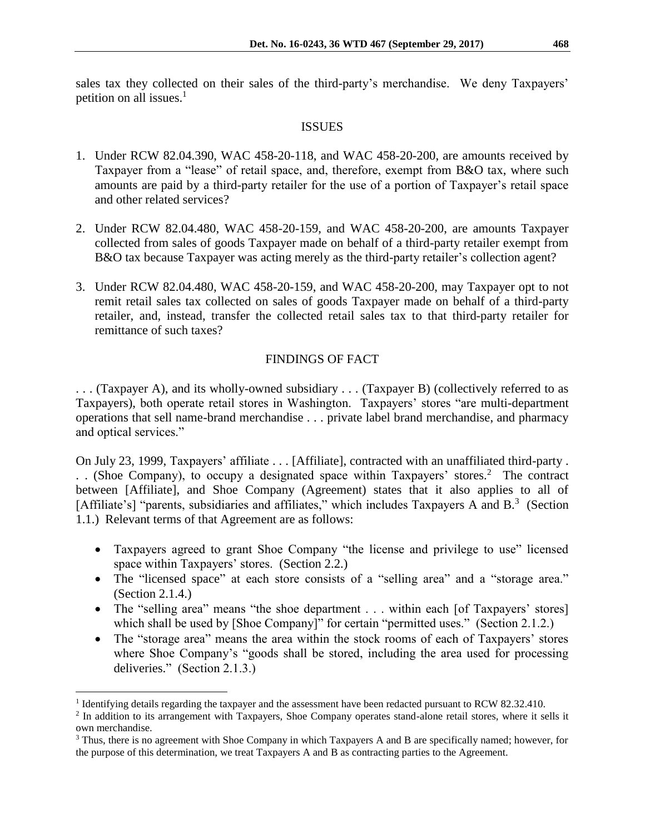sales tax they collected on their sales of the third-party's merchandise. We deny Taxpayers' petition on all issues. $<sup>1</sup>$ </sup>

### ISSUES

- 1. Under RCW 82.04.390, WAC 458-20-118, and WAC 458-20-200, are amounts received by Taxpayer from a "lease" of retail space, and, therefore, exempt from B&O tax, where such amounts are paid by a third-party retailer for the use of a portion of Taxpayer's retail space and other related services?
- 2. Under RCW 82.04.480, WAC 458-20-159, and WAC 458-20-200, are amounts Taxpayer collected from sales of goods Taxpayer made on behalf of a third-party retailer exempt from B&O tax because Taxpayer was acting merely as the third-party retailer's collection agent?
- 3. Under RCW 82.04.480, WAC 458-20-159, and WAC 458-20-200, may Taxpayer opt to not remit retail sales tax collected on sales of goods Taxpayer made on behalf of a third-party retailer, and, instead, transfer the collected retail sales tax to that third-party retailer for remittance of such taxes?

# FINDINGS OF FACT

. . . (Taxpayer A), and its wholly-owned subsidiary . . . (Taxpayer B) (collectively referred to as Taxpayers), both operate retail stores in Washington. Taxpayers' stores "are multi-department operations that sell name-brand merchandise . . . private label brand merchandise, and pharmacy and optical services."

On July 23, 1999, Taxpayers' affiliate . . . [Affiliate], contracted with an unaffiliated third-party . . . (Shoe Company), to occupy a designated space within Taxpayers' stores. 2 The contract between [Affiliate], and Shoe Company (Agreement) states that it also applies to all of [Affiliate's] "parents, subsidiaries and affiliates," which includes Taxpayers A and B.<sup>3</sup> (Section 1.1.) Relevant terms of that Agreement are as follows:

- Taxpayers agreed to grant Shoe Company "the license and privilege to use" licensed space within Taxpayers' stores. (Section 2.2.)
- The "licensed space" at each store consists of a "selling area" and a "storage area." (Section 2.1.4.)
- The "selling area" means "the shoe department . . . within each [of Taxpayers' stores] which shall be used by [Shoe Company]" for certain "permitted uses." (Section 2.1.2.)
- The "storage area" means the area within the stock rooms of each of Taxpayers' stores where Shoe Company's "goods shall be stored, including the area used for processing deliveries." (Section 2.1.3.)

<sup>&</sup>lt;sup>1</sup> Identifying details regarding the taxpayer and the assessment have been redacted pursuant to RCW 82.32.410.

<sup>&</sup>lt;sup>2</sup> In addition to its arrangement with Taxpayers, Shoe Company operates stand-alone retail stores, where it sells it own merchandise.

<sup>3</sup> Thus, there is no agreement with Shoe Company in which Taxpayers A and B are specifically named; however, for the purpose of this determination, we treat Taxpayers A and B as contracting parties to the Agreement.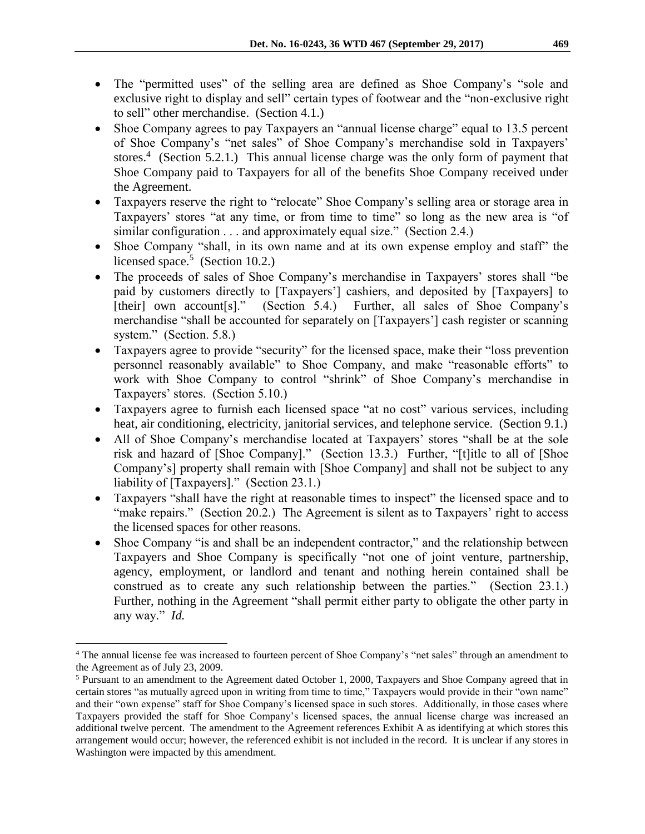- The "permitted uses" of the selling area are defined as Shoe Company's "sole and exclusive right to display and sell" certain types of footwear and the "non-exclusive right to sell" other merchandise. (Section 4.1.)
- Shoe Company agrees to pay Taxpayers an "annual license charge" equal to 13.5 percent of Shoe Company's "net sales" of Shoe Company's merchandise sold in Taxpayers' stores.<sup>4</sup> (Section 5.2.1.) This annual license charge was the only form of payment that Shoe Company paid to Taxpayers for all of the benefits Shoe Company received under the Agreement.
- Taxpayers reserve the right to "relocate" Shoe Company's selling area or storage area in Taxpayers' stores "at any time, or from time to time" so long as the new area is "of similar configuration . . . and approximately equal size." (Section 2.4.)
- Shoe Company "shall, in its own name and at its own expense employ and staff" the licensed space.<sup>5</sup> (Section 10.2.)
- The proceeds of sales of Shoe Company's merchandise in Taxpayers' stores shall "be paid by customers directly to [Taxpayers'] cashiers, and deposited by [Taxpayers] to [their] own account[s]." (Section 5.4.) Further, all sales of Shoe Company's merchandise "shall be accounted for separately on [Taxpayers'] cash register or scanning system." (Section. 5.8.)
- Taxpayers agree to provide "security" for the licensed space, make their "loss prevention personnel reasonably available" to Shoe Company, and make "reasonable efforts" to work with Shoe Company to control "shrink" of Shoe Company's merchandise in Taxpayers' stores. (Section 5.10.)
- Taxpayers agree to furnish each licensed space "at no cost" various services, including heat, air conditioning, electricity, janitorial services, and telephone service. (Section 9.1.)
- All of Shoe Company's merchandise located at Taxpayers' stores "shall be at the sole risk and hazard of [Shoe Company]." (Section 13.3.) Further, "[t]itle to all of [Shoe Company's] property shall remain with [Shoe Company] and shall not be subject to any liability of [Taxpayers]." (Section 23.1.)
- Taxpayers "shall have the right at reasonable times to inspect" the licensed space and to "make repairs." (Section 20.2.) The Agreement is silent as to Taxpayers' right to access the licensed spaces for other reasons.
- Shoe Company "is and shall be an independent contractor," and the relationship between Taxpayers and Shoe Company is specifically "not one of joint venture, partnership, agency, employment, or landlord and tenant and nothing herein contained shall be construed as to create any such relationship between the parties." (Section 23.1.) Further, nothing in the Agreement "shall permit either party to obligate the other party in any way." *Id.*

 $\overline{a}$ <sup>4</sup> The annual license fee was increased to fourteen percent of Shoe Company's "net sales" through an amendment to the Agreement as of July 23, 2009.

<sup>5</sup> Pursuant to an amendment to the Agreement dated October 1, 2000, Taxpayers and Shoe Company agreed that in certain stores "as mutually agreed upon in writing from time to time," Taxpayers would provide in their "own name" and their "own expense" staff for Shoe Company's licensed space in such stores. Additionally, in those cases where Taxpayers provided the staff for Shoe Company's licensed spaces, the annual license charge was increased an additional twelve percent. The amendment to the Agreement references Exhibit A as identifying at which stores this arrangement would occur; however, the referenced exhibit is not included in the record. It is unclear if any stores in Washington were impacted by this amendment.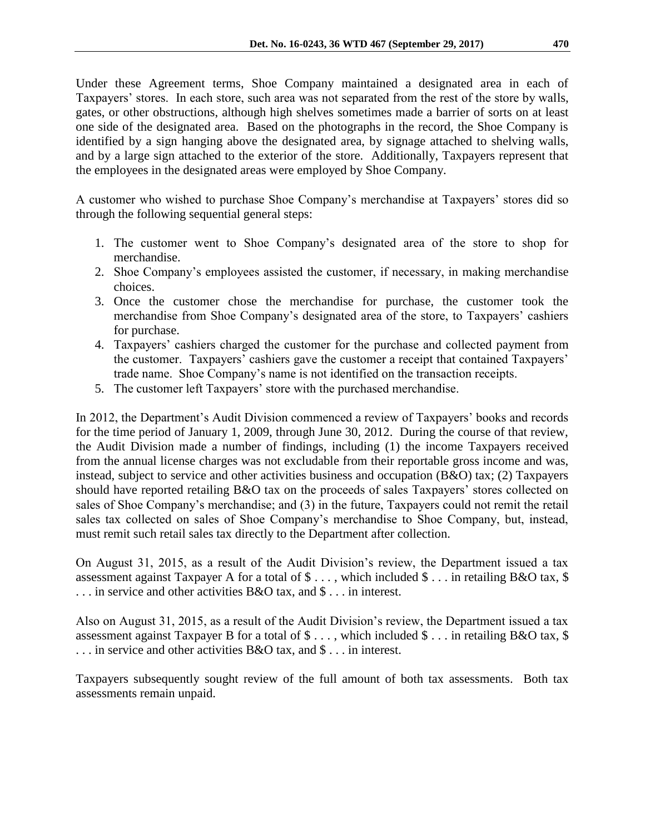Under these Agreement terms, Shoe Company maintained a designated area in each of Taxpayers' stores. In each store, such area was not separated from the rest of the store by walls, gates, or other obstructions, although high shelves sometimes made a barrier of sorts on at least one side of the designated area. Based on the photographs in the record, the Shoe Company is identified by a sign hanging above the designated area, by signage attached to shelving walls, and by a large sign attached to the exterior of the store. Additionally, Taxpayers represent that the employees in the designated areas were employed by Shoe Company.

A customer who wished to purchase Shoe Company's merchandise at Taxpayers' stores did so through the following sequential general steps:

- 1. The customer went to Shoe Company's designated area of the store to shop for merchandise.
- 2. Shoe Company's employees assisted the customer, if necessary, in making merchandise choices.
- 3. Once the customer chose the merchandise for purchase, the customer took the merchandise from Shoe Company's designated area of the store, to Taxpayers' cashiers for purchase.
- 4. Taxpayers' cashiers charged the customer for the purchase and collected payment from the customer. Taxpayers' cashiers gave the customer a receipt that contained Taxpayers' trade name. Shoe Company's name is not identified on the transaction receipts.
- 5. The customer left Taxpayers' store with the purchased merchandise.

In 2012, the Department's Audit Division commenced a review of Taxpayers' books and records for the time period of January 1, 2009, through June 30, 2012. During the course of that review, the Audit Division made a number of findings, including (1) the income Taxpayers received from the annual license charges was not excludable from their reportable gross income and was, instead, subject to service and other activities business and occupation (B&O) tax; (2) Taxpayers should have reported retailing B&O tax on the proceeds of sales Taxpayers' stores collected on sales of Shoe Company's merchandise; and (3) in the future, Taxpayers could not remit the retail sales tax collected on sales of Shoe Company's merchandise to Shoe Company, but, instead, must remit such retail sales tax directly to the Department after collection.

On August 31, 2015, as a result of the Audit Division's review, the Department issued a tax assessment against Taxpayer A for a total of  $\$\ldots$ , which included  $\$\ldots$  in retailing B&O tax,  $\$$ . . . in service and other activities B&O tax, and \$ . . . in interest.

Also on August 31, 2015, as a result of the Audit Division's review, the Department issued a tax assessment against Taxpayer B for a total of \$ . . . , which included \$ . . . in retailing B&O tax, \$ . . . in service and other activities B&O tax, and \$ . . . in interest.

Taxpayers subsequently sought review of the full amount of both tax assessments. Both tax assessments remain unpaid.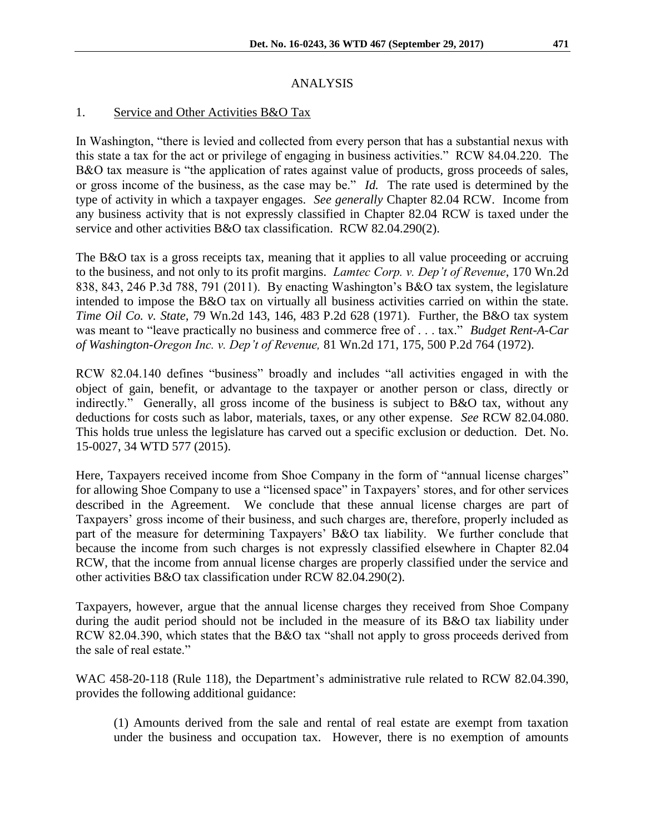## ANALYSIS

## 1. Service and Other Activities B&O Tax

In Washington, "there is levied and collected from every person that has a substantial nexus with this state a tax for the act or privilege of engaging in business activities." RCW 84.04.220. The B&O tax measure is "the application of rates against value of products, gross proceeds of sales, or gross income of the business, as the case may be." *Id.* The rate used is determined by the type of activity in which a taxpayer engages. *See generally* Chapter 82.04 RCW. Income from any business activity that is not expressly classified in Chapter 82.04 RCW is taxed under the service and other activities B&O tax classification. RCW 82.04.290(2).

The B&O tax is a gross receipts tax, meaning that it applies to all value proceeding or accruing to the business, and not only to its profit margins. *Lamtec Corp. v. Dep't of Revenue*, 170 Wn.2d 838, 843, 246 P.3d 788, 791 (2011). By enacting Washington's B&O tax system, the legislature intended to impose the B&O tax on virtually all business activities carried on within the state. *Time Oil Co. v. State,* 79 Wn.2d 143, 146, 483 P.2d 628 (1971). Further, the B&O tax system was meant to "leave practically no business and commerce free of . . . tax." *Budget Rent-A-Car of Washington-Oregon Inc. v. Dep't of Revenue,* 81 Wn.2d 171, 175, 500 P.2d 764 (1972).

RCW 82.04.140 defines "business" broadly and includes "all activities engaged in with the object of gain, benefit, or advantage to the taxpayer or another person or class, directly or indirectly." Generally, all gross income of the business is subject to B&O tax, without any deductions for costs such as labor, materials, taxes, or any other expense. *See* RCW 82.04.080. This holds true unless the legislature has carved out a specific exclusion or deduction. Det. No. 15-0027, 34 WTD 577 (2015).

Here, Taxpayers received income from Shoe Company in the form of "annual license charges" for allowing Shoe Company to use a "licensed space" in Taxpayers' stores, and for other services described in the Agreement. We conclude that these annual license charges are part of Taxpayers' gross income of their business, and such charges are, therefore, properly included as part of the measure for determining Taxpayers' B&O tax liability. We further conclude that because the income from such charges is not expressly classified elsewhere in Chapter 82.04 RCW, that the income from annual license charges are properly classified under the service and other activities B&O tax classification under RCW 82.04.290(2).

Taxpayers, however, argue that the annual license charges they received from Shoe Company during the audit period should not be included in the measure of its B&O tax liability under RCW 82.04.390, which states that the B&O tax "shall not apply to gross proceeds derived from the sale of real estate."

WAC 458-20-118 (Rule 118), the Department's administrative rule related to RCW 82.04.390, provides the following additional guidance:

(1) Amounts derived from the sale and rental of real estate are exempt from taxation under the business and occupation tax. However, there is no exemption of amounts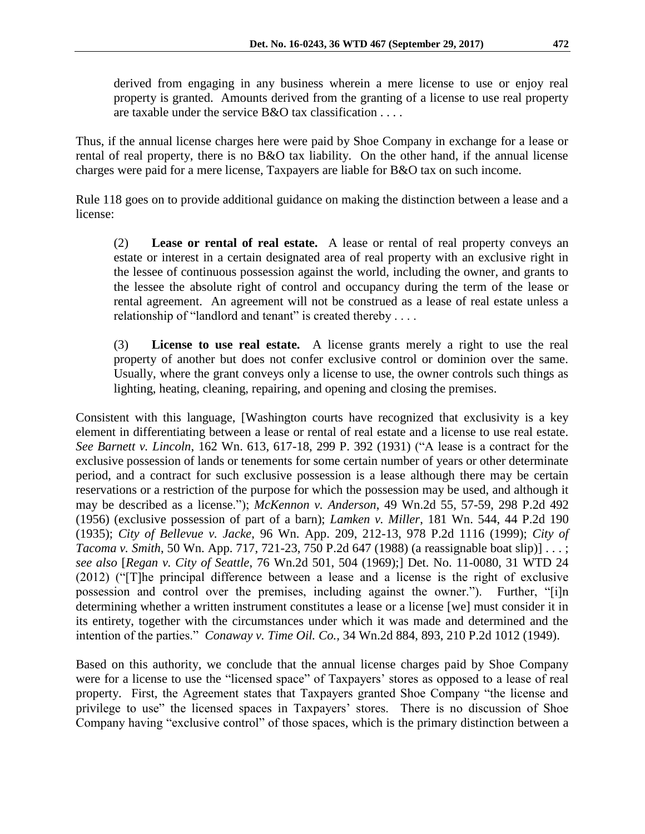derived from engaging in any business wherein a mere license to use or enjoy real property is granted. Amounts derived from the granting of a license to use real property are taxable under the service  $B\&O$  tax classification

Thus, if the annual license charges here were paid by Shoe Company in exchange for a lease or rental of real property, there is no B&O tax liability. On the other hand, if the annual license charges were paid for a mere license, Taxpayers are liable for B&O tax on such income.

Rule 118 goes on to provide additional guidance on making the distinction between a lease and a license:

(2) **Lease or rental of real estate.** A lease or rental of real property conveys an estate or interest in a certain designated area of real property with an exclusive right in the lessee of continuous possession against the world, including the owner, and grants to the lessee the absolute right of control and occupancy during the term of the lease or rental agreement. An agreement will not be construed as a lease of real estate unless a relationship of "landlord and tenant" is created thereby . . . .

(3) **License to use real estate.** A license grants merely a right to use the real property of another but does not confer exclusive control or dominion over the same. Usually, where the grant conveys only a license to use, the owner controls such things as lighting, heating, cleaning, repairing, and opening and closing the premises.

Consistent with this language, [Washington courts have recognized that exclusivity is a key element in differentiating between a lease or rental of real estate and a license to use real estate. *See Barnett v. Lincoln*, 162 Wn. 613, 617-18, 299 P. 392 (1931) ("A lease is a contract for the exclusive possession of lands or tenements for some certain number of years or other determinate period, and a contract for such exclusive possession is a lease although there may be certain reservations or a restriction of the purpose for which the possession may be used, and although it may be described as a license."); *McKennon v. Anderson*, 49 Wn.2d 55, 57-59, 298 P.2d 492 (1956) (exclusive possession of part of a barn); *Lamken v. Miller*, 181 Wn. 544, 44 P.2d 190 (1935); *City of Bellevue v. Jacke*, 96 Wn. App. 209, 212-13, 978 P.2d 1116 (1999); *City of Tacoma v. Smith*, 50 Wn. App. 717, 721-23, 750 P.2d 647 (1988) (a reassignable boat slip)] . . . ; *see also* [*Regan v. City of Seattle*, 76 Wn.2d 501, 504 (1969);] Det. No. 11-0080, 31 WTD 24 (2012) ("[T]he principal difference between a lease and a license is the right of exclusive possession and control over the premises, including against the owner."). Further, "[i]n determining whether a written instrument constitutes a lease or a license [we] must consider it in its entirety, together with the circumstances under which it was made and determined and the intention of the parties." *Conaway v. Time Oil. Co.,* 34 Wn.2d 884, 893, 210 P.2d 1012 (1949).

Based on this authority, we conclude that the annual license charges paid by Shoe Company were for a license to use the "licensed space" of Taxpayers' stores as opposed to a lease of real property. First, the Agreement states that Taxpayers granted Shoe Company "the license and privilege to use" the licensed spaces in Taxpayers' stores. There is no discussion of Shoe Company having "exclusive control" of those spaces, which is the primary distinction between a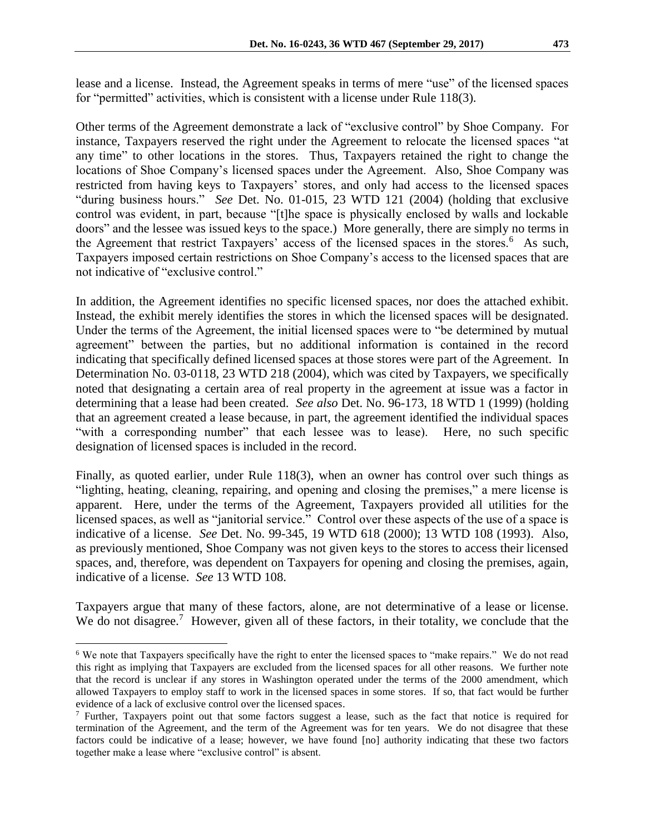lease and a license. Instead, the Agreement speaks in terms of mere "use" of the licensed spaces for "permitted" activities, which is consistent with a license under Rule 118(3).

Other terms of the Agreement demonstrate a lack of "exclusive control" by Shoe Company. For instance, Taxpayers reserved the right under the Agreement to relocate the licensed spaces "at any time" to other locations in the stores. Thus, Taxpayers retained the right to change the locations of Shoe Company's licensed spaces under the Agreement. Also, Shoe Company was restricted from having keys to Taxpayers' stores, and only had access to the licensed spaces "during business hours." *See* Det. No. 01-015, 23 WTD 121 (2004) (holding that exclusive control was evident, in part, because "[t]he space is physically enclosed by walls and lockable doors" and the lessee was issued keys to the space.) More generally, there are simply no terms in the Agreement that restrict Taxpayers' access of the licensed spaces in the stores.<sup>6</sup> As such, Taxpayers imposed certain restrictions on Shoe Company's access to the licensed spaces that are not indicative of "exclusive control."

In addition, the Agreement identifies no specific licensed spaces, nor does the attached exhibit. Instead, the exhibit merely identifies the stores in which the licensed spaces will be designated. Under the terms of the Agreement, the initial licensed spaces were to "be determined by mutual agreement" between the parties, but no additional information is contained in the record indicating that specifically defined licensed spaces at those stores were part of the Agreement. In Determination No. 03-0118, 23 WTD 218 (2004), which was cited by Taxpayers, we specifically noted that designating a certain area of real property in the agreement at issue was a factor in determining that a lease had been created. *See also* Det. No. 96-173, 18 WTD 1 (1999) (holding that an agreement created a lease because, in part, the agreement identified the individual spaces "with a corresponding number" that each lessee was to lease). Here, no such specific designation of licensed spaces is included in the record.

Finally, as quoted earlier, under Rule 118(3), when an owner has control over such things as "lighting, heating, cleaning, repairing, and opening and closing the premises," a mere license is apparent. Here, under the terms of the Agreement, Taxpayers provided all utilities for the licensed spaces, as well as "janitorial service." Control over these aspects of the use of a space is indicative of a license. *See* Det. No. 99-345, 19 WTD 618 (2000); 13 WTD 108 (1993). Also, as previously mentioned, Shoe Company was not given keys to the stores to access their licensed spaces, and, therefore, was dependent on Taxpayers for opening and closing the premises, again, indicative of a license. *See* 13 WTD 108.

Taxpayers argue that many of these factors, alone, are not determinative of a lease or license. We do not disagree.<sup>7</sup> However, given all of these factors, in their totality, we conclude that the

<sup>6</sup> We note that Taxpayers specifically have the right to enter the licensed spaces to "make repairs." We do not read this right as implying that Taxpayers are excluded from the licensed spaces for all other reasons. We further note that the record is unclear if any stores in Washington operated under the terms of the 2000 amendment, which allowed Taxpayers to employ staff to work in the licensed spaces in some stores. If so, that fact would be further evidence of a lack of exclusive control over the licensed spaces.

<sup>7</sup> Further, Taxpayers point out that some factors suggest a lease, such as the fact that notice is required for termination of the Agreement, and the term of the Agreement was for ten years. We do not disagree that these factors could be indicative of a lease; however, we have found [no] authority indicating that these two factors together make a lease where "exclusive control" is absent.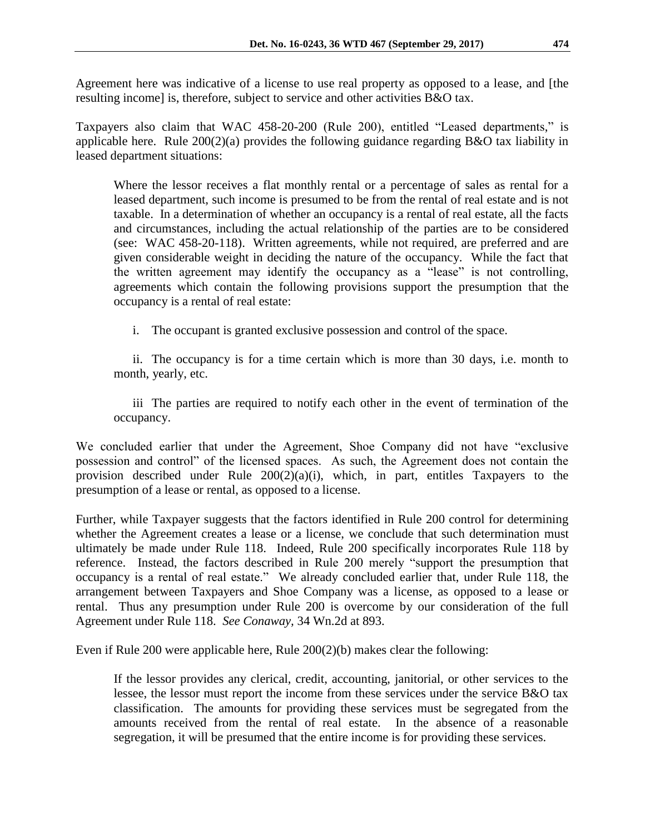Agreement here was indicative of a license to use real property as opposed to a lease, and [the resulting income] is, therefore, subject to service and other activities B&O tax.

Taxpayers also claim that WAC 458-20-200 (Rule 200), entitled "Leased departments," is applicable here. Rule 200(2)(a) provides the following guidance regarding B&O tax liability in leased department situations:

Where the lessor receives a flat monthly rental or a percentage of sales as rental for a leased department, such income is presumed to be from the rental of real estate and is not taxable. In a determination of whether an occupancy is a rental of real estate, all the facts and circumstances, including the actual relationship of the parties are to be considered (see: WAC 458-20-118). Written agreements, while not required, are preferred and are given considerable weight in deciding the nature of the occupancy. While the fact that the written agreement may identify the occupancy as a "lease" is not controlling, agreements which contain the following provisions support the presumption that the occupancy is a rental of real estate:

i. The occupant is granted exclusive possession and control of the space.

ii. The occupancy is for a time certain which is more than 30 days, i.e. month to month, yearly, etc.

iii The parties are required to notify each other in the event of termination of the occupancy.

We concluded earlier that under the Agreement, Shoe Company did not have "exclusive possession and control" of the licensed spaces. As such, the Agreement does not contain the provision described under Rule 200(2)(a)(i), which, in part, entitles Taxpayers to the presumption of a lease or rental, as opposed to a license.

Further, while Taxpayer suggests that the factors identified in Rule 200 control for determining whether the Agreement creates a lease or a license, we conclude that such determination must ultimately be made under Rule 118. Indeed, Rule 200 specifically incorporates Rule 118 by reference. Instead, the factors described in Rule 200 merely "support the presumption that occupancy is a rental of real estate." We already concluded earlier that, under Rule 118, the arrangement between Taxpayers and Shoe Company was a license, as opposed to a lease or rental. Thus any presumption under Rule 200 is overcome by our consideration of the full Agreement under Rule 118. *See Conaway,* 34 Wn.2d at 893.

Even if Rule 200 were applicable here, Rule  $200(2)(b)$  makes clear the following:

If the lessor provides any clerical, credit, accounting, janitorial, or other services to the lessee, the lessor must report the income from these services under the service B&O tax classification. The amounts for providing these services must be segregated from the amounts received from the rental of real estate. In the absence of a reasonable segregation, it will be presumed that the entire income is for providing these services.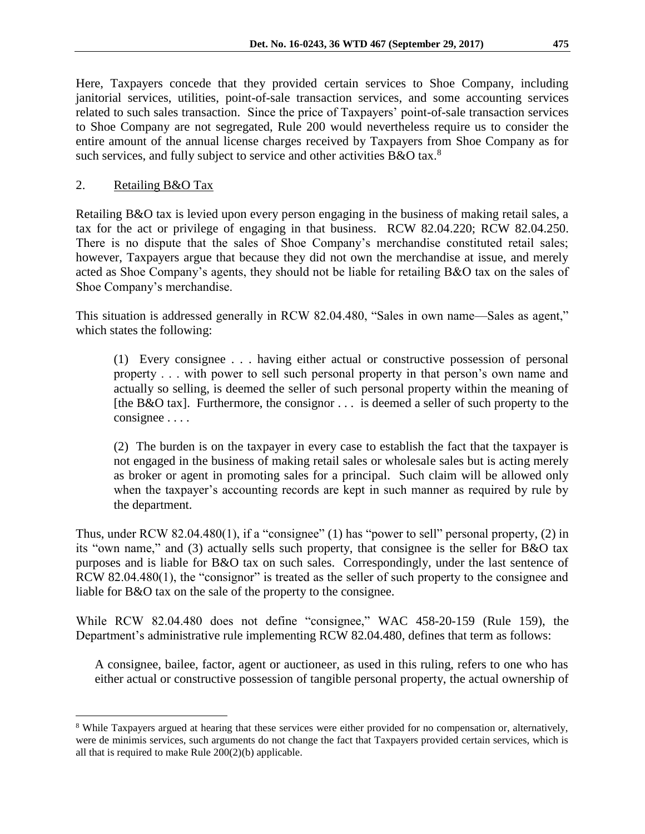Here, Taxpayers concede that they provided certain services to Shoe Company, including janitorial services, utilities, point-of-sale transaction services, and some accounting services related to such sales transaction. Since the price of Taxpayers' point-of-sale transaction services to Shoe Company are not segregated, Rule 200 would nevertheless require us to consider the entire amount of the annual license charges received by Taxpayers from Shoe Company as for such services, and fully subject to service and other activities B&O tax.<sup>8</sup>

### 2. Retailing B&O Tax

 $\overline{a}$ 

Retailing B&O tax is levied upon every person engaging in the business of making retail sales, a tax for the act or privilege of engaging in that business. RCW 82.04.220; RCW 82.04.250. There is no dispute that the sales of Shoe Company's merchandise constituted retail sales; however, Taxpayers argue that because they did not own the merchandise at issue, and merely acted as Shoe Company's agents, they should not be liable for retailing B&O tax on the sales of Shoe Company's merchandise.

This situation is addressed generally in RCW 82.04.480, "Sales in own name—Sales as agent," which states the following:

(1) Every consignee . . . having either actual or constructive possession of personal property . . . with power to sell such personal property in that person's own name and actually so selling, is deemed the seller of such personal property within the meaning of [the B&O tax]. Furthermore, the consignor . . . is deemed a seller of such property to the consignee . . . .

(2) The burden is on the taxpayer in every case to establish the fact that the taxpayer is not engaged in the business of making retail sales or wholesale sales but is acting merely as broker or agent in promoting sales for a principal. Such claim will be allowed only when the taxpayer's accounting records are kept in such manner as required by rule by the department.

Thus, under RCW 82.04.480(1), if a "consignee" (1) has "power to sell" personal property, (2) in its "own name," and (3) actually sells such property, that consignee is the seller for B&O tax purposes and is liable for B&O tax on such sales. Correspondingly, under the last sentence of RCW 82.04.480(1), the "consignor" is treated as the seller of such property to the consignee and liable for B&O tax on the sale of the property to the consignee.

While RCW 82.04.480 does not define "consignee," WAC 458-20-159 (Rule 159), the Department's administrative rule implementing RCW 82.04.480, defines that term as follows:

A consignee, bailee, factor, agent or auctioneer, as used in this ruling, refers to one who has either actual or constructive possession of tangible personal property, the actual ownership of

<sup>8</sup> While Taxpayers argued at hearing that these services were either provided for no compensation or, alternatively, were de minimis services, such arguments do not change the fact that Taxpayers provided certain services, which is all that is required to make Rule 200(2)(b) applicable.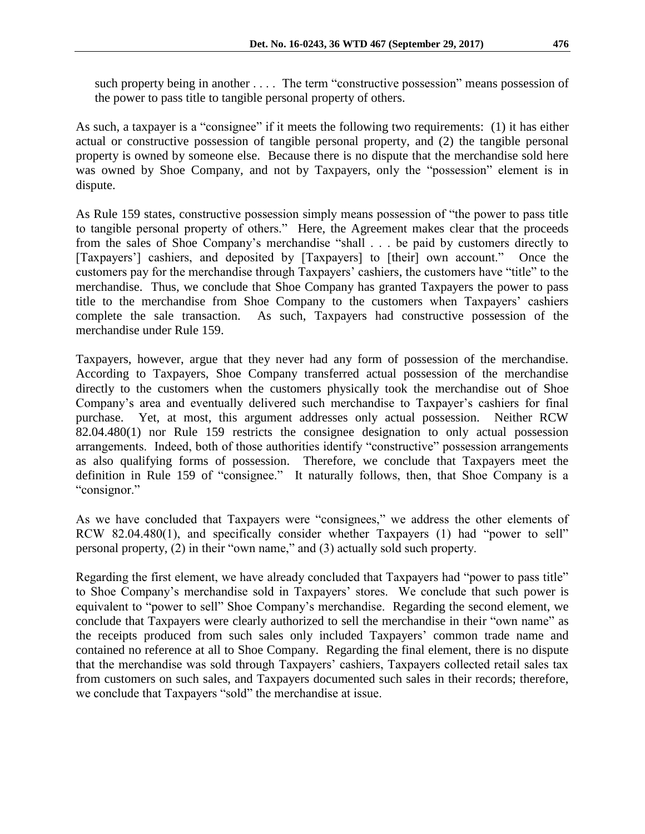such property being in another .... The term "constructive possession" means possession of the power to pass title to tangible personal property of others.

As such, a taxpayer is a "consignee" if it meets the following two requirements: (1) it has either actual or constructive possession of tangible personal property, and (2) the tangible personal property is owned by someone else. Because there is no dispute that the merchandise sold here was owned by Shoe Company, and not by Taxpayers, only the "possession" element is in dispute.

As Rule 159 states, constructive possession simply means possession of "the power to pass title to tangible personal property of others." Here, the Agreement makes clear that the proceeds from the sales of Shoe Company's merchandise "shall . . . be paid by customers directly to [Taxpayers'] cashiers, and deposited by [Taxpayers] to [their] own account." Once the customers pay for the merchandise through Taxpayers' cashiers, the customers have "title" to the merchandise. Thus, we conclude that Shoe Company has granted Taxpayers the power to pass title to the merchandise from Shoe Company to the customers when Taxpayers' cashiers complete the sale transaction. As such, Taxpayers had constructive possession of the merchandise under Rule 159.

Taxpayers, however, argue that they never had any form of possession of the merchandise. According to Taxpayers, Shoe Company transferred actual possession of the merchandise directly to the customers when the customers physically took the merchandise out of Shoe Company's area and eventually delivered such merchandise to Taxpayer's cashiers for final purchase. Yet, at most, this argument addresses only actual possession. Neither RCW 82.04.480(1) nor Rule 159 restricts the consignee designation to only actual possession arrangements. Indeed, both of those authorities identify "constructive" possession arrangements as also qualifying forms of possession. Therefore, we conclude that Taxpayers meet the definition in Rule 159 of "consignee." It naturally follows, then, that Shoe Company is a "consignor."

As we have concluded that Taxpayers were "consignees," we address the other elements of RCW 82.04.480(1), and specifically consider whether Taxpayers (1) had "power to sell" personal property, (2) in their "own name," and (3) actually sold such property.

Regarding the first element, we have already concluded that Taxpayers had "power to pass title" to Shoe Company's merchandise sold in Taxpayers' stores. We conclude that such power is equivalent to "power to sell" Shoe Company's merchandise. Regarding the second element, we conclude that Taxpayers were clearly authorized to sell the merchandise in their "own name" as the receipts produced from such sales only included Taxpayers' common trade name and contained no reference at all to Shoe Company. Regarding the final element, there is no dispute that the merchandise was sold through Taxpayers' cashiers, Taxpayers collected retail sales tax from customers on such sales, and Taxpayers documented such sales in their records; therefore, we conclude that Taxpayers "sold" the merchandise at issue.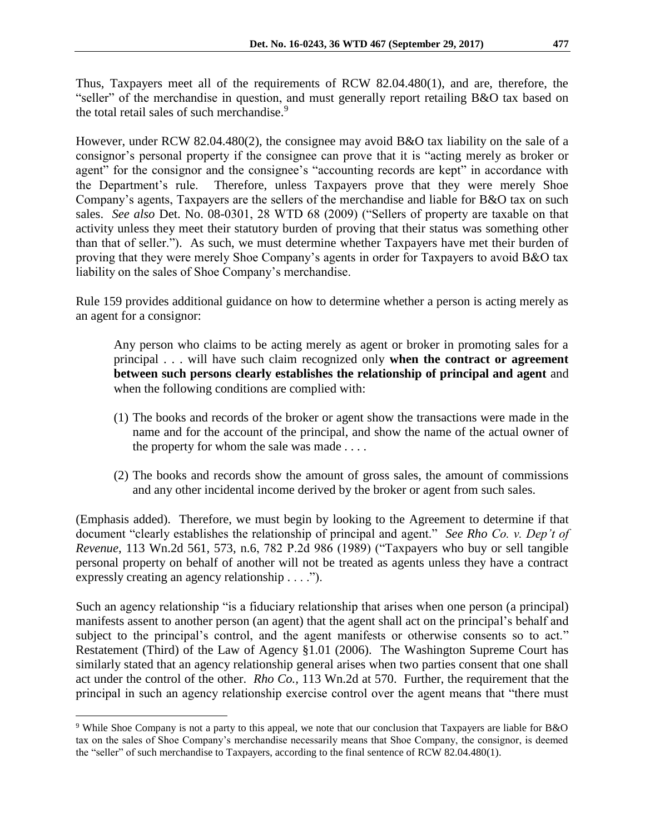Thus, Taxpayers meet all of the requirements of RCW 82.04.480(1), and are, therefore, the "seller" of the merchandise in question, and must generally report retailing B&O tax based on the total retail sales of such merchandise.<sup>9</sup>

However, under RCW 82.04.480(2), the consignee may avoid B&O tax liability on the sale of a consignor's personal property if the consignee can prove that it is "acting merely as broker or agent" for the consignor and the consignee's "accounting records are kept" in accordance with the Department's rule. Therefore, unless Taxpayers prove that they were merely Shoe Company's agents, Taxpayers are the sellers of the merchandise and liable for B&O tax on such sales. *See also* Det. No. 08-0301, 28 WTD 68 (2009) ("Sellers of property are taxable on that activity unless they meet their statutory burden of proving that their status was something other than that of seller."). As such, we must determine whether Taxpayers have met their burden of proving that they were merely Shoe Company's agents in order for Taxpayers to avoid B&O tax liability on the sales of Shoe Company's merchandise.

Rule 159 provides additional guidance on how to determine whether a person is acting merely as an agent for a consignor:

Any person who claims to be acting merely as agent or broker in promoting sales for a principal . . . will have such claim recognized only **when the contract or agreement between such persons clearly establishes the relationship of principal and agent** and when the following conditions are complied with:

- (1) The books and records of the broker or agent show the transactions were made in the name and for the account of the principal, and show the name of the actual owner of the property for whom the sale was made . . . .
- (2) The books and records show the amount of gross sales, the amount of commissions and any other incidental income derived by the broker or agent from such sales.

(Emphasis added). Therefore, we must begin by looking to the Agreement to determine if that document "clearly establishes the relationship of principal and agent." *See Rho Co. v. Dep't of Revenue*, 113 Wn.2d 561, 573, n.6, 782 P.2d 986 (1989) ("Taxpayers who buy or sell tangible personal property on behalf of another will not be treated as agents unless they have a contract expressly creating an agency relationship . . . .").

Such an agency relationship "is a fiduciary relationship that arises when one person (a principal) manifests assent to another person (an agent) that the agent shall act on the principal's behalf and subject to the principal's control, and the agent manifests or otherwise consents so to act." Restatement (Third) of the Law of Agency §1.01 (2006). The Washington Supreme Court has similarly stated that an agency relationship general arises when two parties consent that one shall act under the control of the other. *Rho Co.,* 113 Wn.2d at 570. Further, the requirement that the principal in such an agency relationship exercise control over the agent means that "there must

<sup>9</sup> While Shoe Company is not a party to this appeal, we note that our conclusion that Taxpayers are liable for B&O tax on the sales of Shoe Company's merchandise necessarily means that Shoe Company, the consignor, is deemed the "seller" of such merchandise to Taxpayers, according to the final sentence of RCW 82.04.480(1).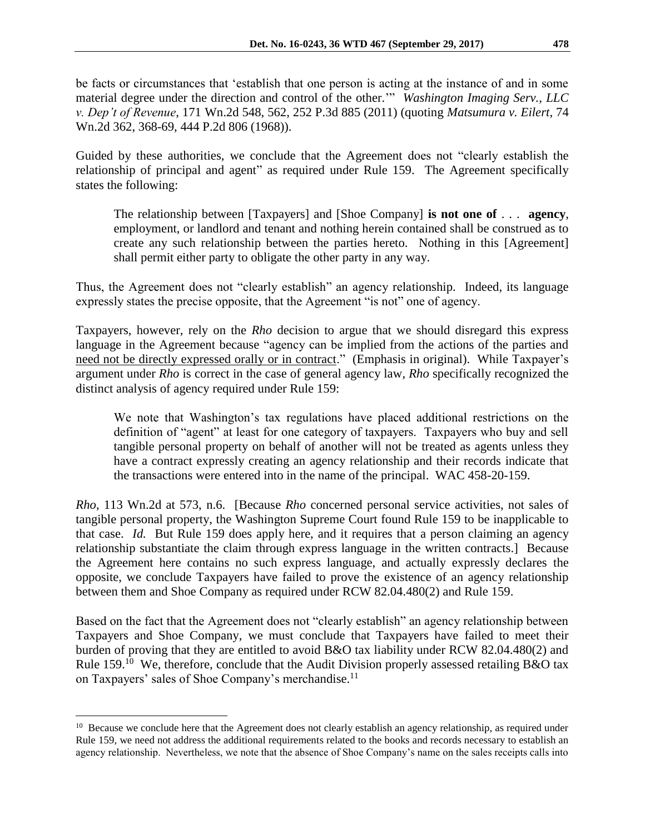be facts or circumstances that 'establish that one person is acting at the instance of and in some material degree under the direction and control of the other.'" *Washington Imaging Serv., LLC v. Dep't of Revenue*, 171 Wn.2d 548, 562, 252 P.3d 885 (2011) (quoting *Matsumura v. Eilert*, 74 Wn.2d 362, 368-69, 444 P.2d 806 (1968)).

Guided by these authorities, we conclude that the Agreement does not "clearly establish the relationship of principal and agent" as required under Rule 159. The Agreement specifically states the following:

The relationship between [Taxpayers] and [Shoe Company] **is not one of** . . . **agency**, employment, or landlord and tenant and nothing herein contained shall be construed as to create any such relationship between the parties hereto. Nothing in this [Agreement] shall permit either party to obligate the other party in any way.

Thus, the Agreement does not "clearly establish" an agency relationship. Indeed, its language expressly states the precise opposite, that the Agreement "is not" one of agency.

Taxpayers, however, rely on the *Rho* decision to argue that we should disregard this express language in the Agreement because "agency can be implied from the actions of the parties and need not be directly expressed orally or in contract." (Emphasis in original). While Taxpayer's argument under *Rho* is correct in the case of general agency law, *Rho* specifically recognized the distinct analysis of agency required under Rule 159:

We note that Washington's tax regulations have placed additional restrictions on the definition of "agent" at least for one category of taxpayers. Taxpayers who buy and sell tangible personal property on behalf of another will not be treated as agents unless they have a contract expressly creating an agency relationship and their records indicate that the transactions were entered into in the name of the principal. WAC 458-20-159.

*Rho*, 113 Wn.2d at 573, n.6. [Because *Rho* concerned personal service activities, not sales of tangible personal property, the Washington Supreme Court found Rule 159 to be inapplicable to that case. *Id.* But Rule 159 does apply here, and it requires that a person claiming an agency relationship substantiate the claim through express language in the written contracts.] Because the Agreement here contains no such express language, and actually expressly declares the opposite, we conclude Taxpayers have failed to prove the existence of an agency relationship between them and Shoe Company as required under RCW 82.04.480(2) and Rule 159.

Based on the fact that the Agreement does not "clearly establish" an agency relationship between Taxpayers and Shoe Company, we must conclude that Taxpayers have failed to meet their burden of proving that they are entitled to avoid B&O tax liability under RCW 82.04.480(2) and Rule 159.<sup>10</sup> We, therefore, conclude that the Audit Division properly assessed retailing B&O tax on Taxpayers' sales of Shoe Company's merchandise.<sup>11</sup>

<sup>&</sup>lt;sup>10</sup> Because we conclude here that the Agreement does not clearly establish an agency relationship, as required under Rule 159, we need not address the additional requirements related to the books and records necessary to establish an agency relationship. Nevertheless, we note that the absence of Shoe Company's name on the sales receipts calls into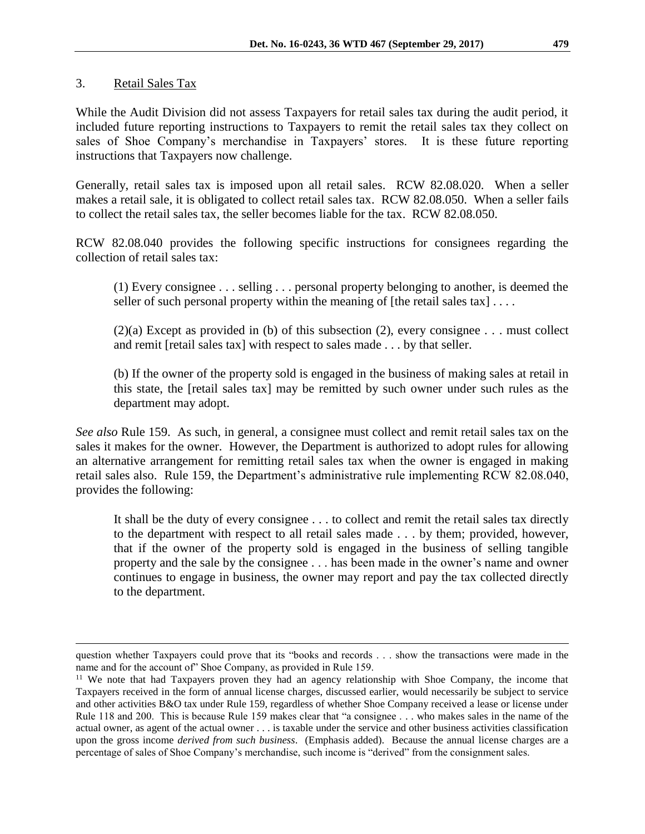#### 3. Retail Sales Tax

 $\overline{a}$ 

While the Audit Division did not assess Taxpayers for retail sales tax during the audit period, it included future reporting instructions to Taxpayers to remit the retail sales tax they collect on sales of Shoe Company's merchandise in Taxpayers' stores. It is these future reporting instructions that Taxpayers now challenge.

Generally, retail sales tax is imposed upon all retail sales. RCW 82.08.020. When a seller makes a retail sale, it is obligated to collect retail sales tax. RCW 82.08.050. When a seller fails to collect the retail sales tax, the seller becomes liable for the tax. RCW 82.08.050.

RCW 82.08.040 provides the following specific instructions for consignees regarding the collection of retail sales tax:

(1) Every consignee . . . selling . . . personal property belonging to another, is deemed the seller of such personal property within the meaning of  $[$ the retail sales tax $] \ldots$ .

 $(2)(a)$  Except as provided in (b) of this subsection (2), every consignee . . . must collect and remit [retail sales tax] with respect to sales made . . . by that seller.

(b) If the owner of the property sold is engaged in the business of making sales at retail in this state, the [retail sales tax] may be remitted by such owner under such rules as the department may adopt.

*See also* Rule 159. As such, in general, a consignee must collect and remit retail sales tax on the sales it makes for the owner. However, the Department is authorized to adopt rules for allowing an alternative arrangement for remitting retail sales tax when the owner is engaged in making retail sales also. Rule 159, the Department's administrative rule implementing RCW 82.08.040, provides the following:

It shall be the duty of every consignee . . . to collect and remit the retail sales tax directly to the department with respect to all retail sales made . . . by them; provided, however, that if the owner of the property sold is engaged in the business of selling tangible property and the sale by the consignee . . . has been made in the owner's name and owner continues to engage in business, the owner may report and pay the tax collected directly to the department.

question whether Taxpayers could prove that its "books and records . . . show the transactions were made in the name and for the account of" Shoe Company, as provided in Rule 159.

<sup>&</sup>lt;sup>11</sup> We note that had Taxpayers proven they had an agency relationship with Shoe Company, the income that Taxpayers received in the form of annual license charges, discussed earlier, would necessarily be subject to service and other activities B&O tax under Rule 159, regardless of whether Shoe Company received a lease or license under Rule 118 and 200. This is because Rule 159 makes clear that "a consignee . . . who makes sales in the name of the actual owner, as agent of the actual owner . . . is taxable under the service and other business activities classification upon the gross income *derived from such business*. (Emphasis added). Because the annual license charges are a percentage of sales of Shoe Company's merchandise, such income is "derived" from the consignment sales.